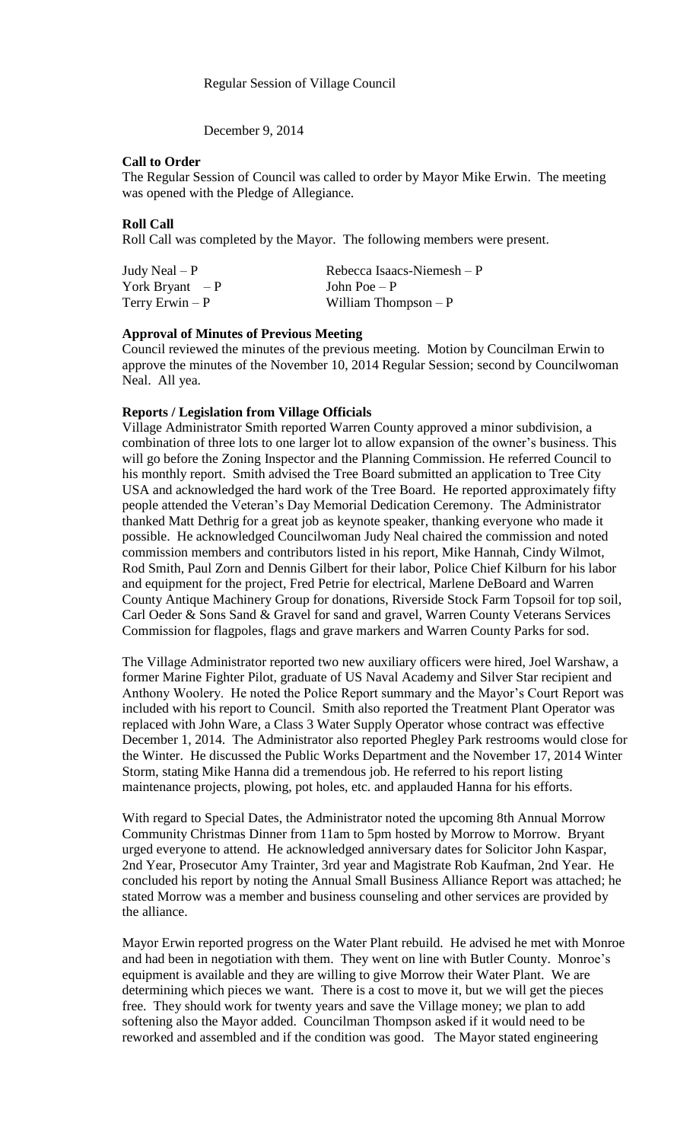December 9, 2014

### **Call to Order**

The Regular Session of Council was called to order by Mayor Mike Erwin. The meeting was opened with the Pledge of Allegiance.

### **Roll Call**

Roll Call was completed by the Mayor. The following members were present.

York Bryant  $-P$  John Poe – P

Judy Neal – P Rebecca Isaacs-Niemesh – P Terry Erwin – P William Thompson – P

# **Approval of Minutes of Previous Meeting**

Council reviewed the minutes of the previous meeting. Motion by Councilman Erwin to approve the minutes of the November 10, 2014 Regular Session; second by Councilwoman Neal. All yea.

## **Reports / Legislation from Village Officials**

Village Administrator Smith reported Warren County approved a minor subdivision, a combination of three lots to one larger lot to allow expansion of the owner's business. This will go before the Zoning Inspector and the Planning Commission. He referred Council to his monthly report. Smith advised the Tree Board submitted an application to Tree City USA and acknowledged the hard work of the Tree Board. He reported approximately fifty people attended the Veteran's Day Memorial Dedication Ceremony. The Administrator thanked Matt Dethrig for a great job as keynote speaker, thanking everyone who made it possible. He acknowledged Councilwoman Judy Neal chaired the commission and noted commission members and contributors listed in his report, Mike Hannah, Cindy Wilmot, Rod Smith, Paul Zorn and Dennis Gilbert for their labor, Police Chief Kilburn for his labor and equipment for the project, Fred Petrie for electrical, Marlene DeBoard and Warren County Antique Machinery Group for donations, Riverside Stock Farm Topsoil for top soil, Carl Oeder & Sons Sand & Gravel for sand and gravel, Warren County Veterans Services Commission for flagpoles, flags and grave markers and Warren County Parks for sod.

The Village Administrator reported two new auxiliary officers were hired, Joel Warshaw, a former Marine Fighter Pilot, graduate of US Naval Academy and Silver Star recipient and Anthony Woolery. He noted the Police Report summary and the Mayor's Court Report was included with his report to Council. Smith also reported the Treatment Plant Operator was replaced with John Ware, a Class 3 Water Supply Operator whose contract was effective December 1, 2014. The Administrator also reported Phegley Park restrooms would close for the Winter. He discussed the Public Works Department and the November 17, 2014 Winter Storm, stating Mike Hanna did a tremendous job. He referred to his report listing maintenance projects, plowing, pot holes, etc. and applauded Hanna for his efforts.

With regard to Special Dates, the Administrator noted the upcoming 8th Annual Morrow Community Christmas Dinner from 11am to 5pm hosted by Morrow to Morrow. Bryant urged everyone to attend. He acknowledged anniversary dates for Solicitor John Kaspar, 2nd Year, Prosecutor Amy Trainter, 3rd year and Magistrate Rob Kaufman, 2nd Year. He concluded his report by noting the Annual Small Business Alliance Report was attached; he stated Morrow was a member and business counseling and other services are provided by the alliance.

Mayor Erwin reported progress on the Water Plant rebuild. He advised he met with Monroe and had been in negotiation with them. They went on line with Butler County. Monroe's equipment is available and they are willing to give Morrow their Water Plant. We are determining which pieces we want. There is a cost to move it, but we will get the pieces free. They should work for twenty years and save the Village money; we plan to add softening also the Mayor added. Councilman Thompson asked if it would need to be reworked and assembled and if the condition was good. The Mayor stated engineering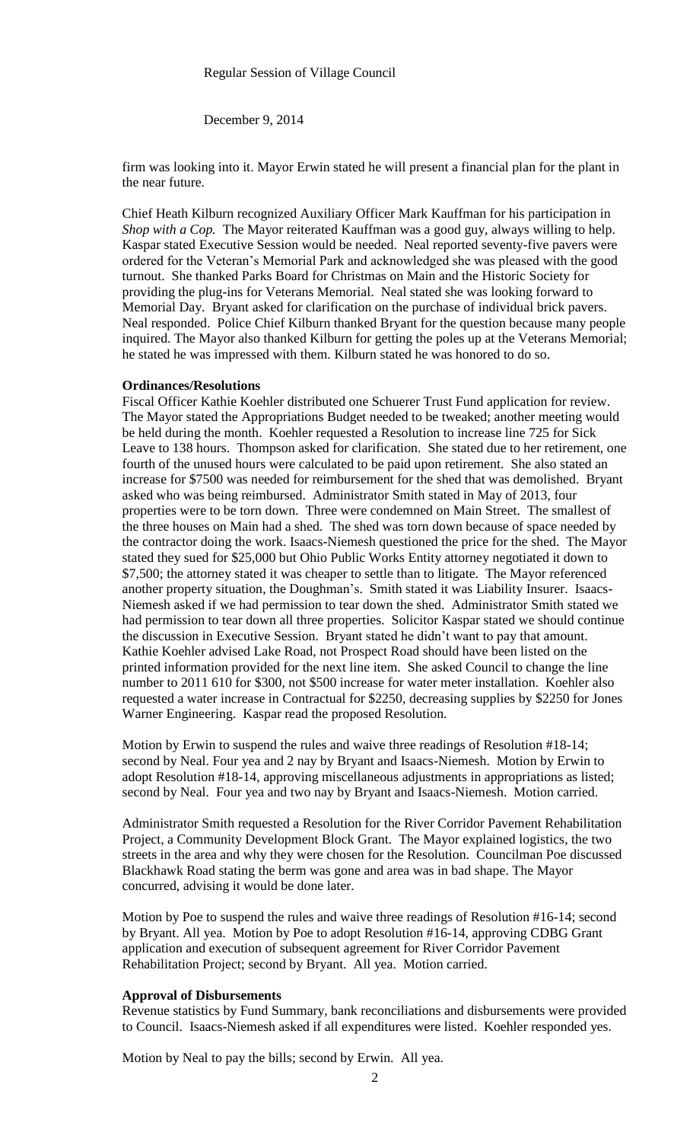December 9, 2014

firm was looking into it. Mayor Erwin stated he will present a financial plan for the plant in the near future.

Chief Heath Kilburn recognized Auxiliary Officer Mark Kauffman for his participation in *Shop with a Cop.* The Mayor reiterated Kauffman was a good guy, always willing to help. Kaspar stated Executive Session would be needed. Neal reported seventy-five pavers were ordered for the Veteran's Memorial Park and acknowledged she was pleased with the good turnout. She thanked Parks Board for Christmas on Main and the Historic Society for providing the plug-ins for Veterans Memorial. Neal stated she was looking forward to Memorial Day. Bryant asked for clarification on the purchase of individual brick pavers. Neal responded. Police Chief Kilburn thanked Bryant for the question because many people inquired. The Mayor also thanked Kilburn for getting the poles up at the Veterans Memorial; he stated he was impressed with them. Kilburn stated he was honored to do so.

#### **Ordinances/Resolutions**

Fiscal Officer Kathie Koehler distributed one Schuerer Trust Fund application for review. The Mayor stated the Appropriations Budget needed to be tweaked; another meeting would be held during the month. Koehler requested a Resolution to increase line 725 for Sick Leave to 138 hours. Thompson asked for clarification. She stated due to her retirement, one fourth of the unused hours were calculated to be paid upon retirement. She also stated an increase for \$7500 was needed for reimbursement for the shed that was demolished. Bryant asked who was being reimbursed. Administrator Smith stated in May of 2013, four properties were to be torn down. Three were condemned on Main Street. The smallest of the three houses on Main had a shed. The shed was torn down because of space needed by the contractor doing the work. Isaacs-Niemesh questioned the price for the shed. The Mayor stated they sued for \$25,000 but Ohio Public Works Entity attorney negotiated it down to \$7,500; the attorney stated it was cheaper to settle than to litigate. The Mayor referenced another property situation, the Doughman's. Smith stated it was Liability Insurer. Isaacs-Niemesh asked if we had permission to tear down the shed. Administrator Smith stated we had permission to tear down all three properties. Solicitor Kaspar stated we should continue the discussion in Executive Session. Bryant stated he didn't want to pay that amount. Kathie Koehler advised Lake Road, not Prospect Road should have been listed on the printed information provided for the next line item. She asked Council to change the line number to 2011 610 for \$300, not \$500 increase for water meter installation. Koehler also requested a water increase in Contractual for \$2250, decreasing supplies by \$2250 for Jones Warner Engineering. Kaspar read the proposed Resolution.

Motion by Erwin to suspend the rules and waive three readings of Resolution #18-14; second by Neal. Four yea and 2 nay by Bryant and Isaacs-Niemesh. Motion by Erwin to adopt Resolution #18-14, approving miscellaneous adjustments in appropriations as listed; second by Neal. Four yea and two nay by Bryant and Isaacs-Niemesh. Motion carried.

Administrator Smith requested a Resolution for the River Corridor Pavement Rehabilitation Project, a Community Development Block Grant. The Mayor explained logistics, the two streets in the area and why they were chosen for the Resolution. Councilman Poe discussed Blackhawk Road stating the berm was gone and area was in bad shape. The Mayor concurred, advising it would be done later.

Motion by Poe to suspend the rules and waive three readings of Resolution #16-14; second by Bryant. All yea. Motion by Poe to adopt Resolution #16-14, approving CDBG Grant application and execution of subsequent agreement for River Corridor Pavement Rehabilitation Project; second by Bryant. All yea. Motion carried.

### **Approval of Disbursements**

Revenue statistics by Fund Summary, bank reconciliations and disbursements were provided to Council. Isaacs-Niemesh asked if all expenditures were listed. Koehler responded yes.

Motion by Neal to pay the bills; second by Erwin. All yea.